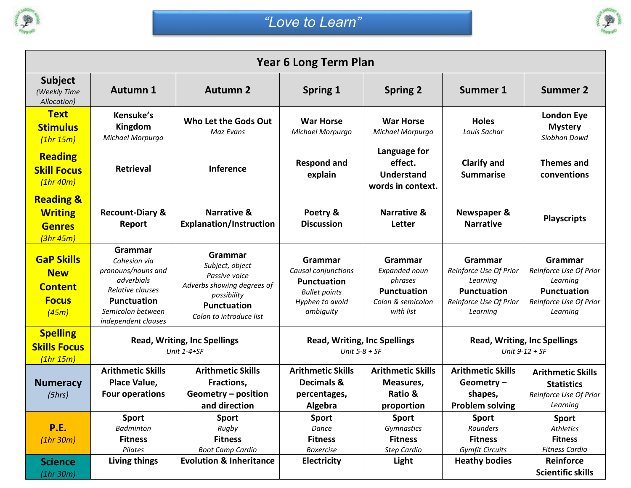



| <b>Year 6 Long Term Plan</b>                                               |                                                                                                                                                   |                                                                                                                                           |                                                                                                              |                                                                                                    |                                                                                                           |                                                                                                           |  |  |  |  |
|----------------------------------------------------------------------------|---------------------------------------------------------------------------------------------------------------------------------------------------|-------------------------------------------------------------------------------------------------------------------------------------------|--------------------------------------------------------------------------------------------------------------|----------------------------------------------------------------------------------------------------|-----------------------------------------------------------------------------------------------------------|-----------------------------------------------------------------------------------------------------------|--|--|--|--|
| <b>Subject</b><br>(Weekly Time<br>Allocation)                              | <b>Autumn 1</b>                                                                                                                                   | <b>Autumn 2</b>                                                                                                                           | <b>Spring 1</b>                                                                                              | <b>Spring 2</b>                                                                                    | <b>Summer 1</b>                                                                                           | <b>Summer 2</b>                                                                                           |  |  |  |  |
| <b>Text</b><br><b>Stimulus</b><br>(1hr 15m)                                | Kensuke's<br>Kingdom<br>Michael Morpurgo                                                                                                          | Who Let the Gods Out<br>Maz Evans                                                                                                         | <b>War Horse</b><br>Michael Morpurgo                                                                         | <b>War Horse</b><br>Michael Morpurgo                                                               | <b>Holes</b><br>Louis Sachar                                                                              | <b>London Eye</b><br><b>Mystery</b><br>Siobhan Dowd                                                       |  |  |  |  |
| <b>Reading</b><br><b>Skill Focus</b><br>(1hr 40m)                          | <b>Retrieval</b>                                                                                                                                  | Inference                                                                                                                                 | <b>Respond and</b><br>explain                                                                                | Language for<br>effect.<br><b>Understand</b><br>words in context.                                  | <b>Clarify and</b><br><b>Summarise</b>                                                                    | <b>Themes and</b><br>conventions                                                                          |  |  |  |  |
| <b>Reading &amp;</b><br><b>Writing</b><br><b>Genres</b><br>(3hr45m)        | <b>Recount-Diary &amp;</b><br>Report                                                                                                              | <b>Narrative &amp;</b><br><b>Explanation/Instruction</b>                                                                                  | Poetry &<br><b>Discussion</b>                                                                                | <b>Narrative &amp;</b><br>Letter                                                                   | Newspaper &<br><b>Narrative</b>                                                                           | <b>Playscripts</b>                                                                                        |  |  |  |  |
| <b>GaP Skills</b><br><b>New</b><br><b>Content</b><br><b>Focus</b><br>(45m) | Grammar<br>Cohesion via<br>pronouns/nouns and<br>adverbials<br>Relative clauses<br><b>Punctuation</b><br>Semicolon between<br>independent clauses | Grammar<br>Subject, object<br>Passive voice<br>Adverbs showing degrees of<br>possibility<br><b>Punctuation</b><br>Colon to introduce list | Grammar<br>Causal conjunctions<br><b>Punctuation</b><br><b>Bullet points</b><br>Hyphen to avoid<br>ambiguity | <b>Grammar</b><br>Expanded noun<br>phrases<br><b>Punctuation</b><br>Colon & semicolon<br>with list | Grammar<br>Reinforce Use Of Prior<br>Learning<br><b>Punctuation</b><br>Reinforce Use Of Prior<br>Learning | Grammar<br>Reinforce Use Of Prior<br>Learning<br><b>Punctuation</b><br>Reinforce Use Of Prior<br>Learning |  |  |  |  |
| <b>Spelling</b><br><b>Skills Focus</b><br>(1hr 15m)                        | <b>Read, Writing, Inc Spellings</b><br>Unit $1-4+SF$                                                                                              |                                                                                                                                           | <b>Read, Writing, Inc Spellings</b><br>Unit $5-8 + SF$                                                       |                                                                                                    | <b>Read, Writing, Inc Spellings</b><br>Unit $9-12 + SF$                                                   |                                                                                                           |  |  |  |  |
| <b>Numeracy</b><br>(5hrs)                                                  | <b>Arithmetic Skills</b><br>Place Value,<br><b>Four operations</b>                                                                                | <b>Arithmetic Skills</b><br>Fractions,<br>Geometry - position<br>and direction                                                            | <b>Arithmetic Skills</b><br>Decimals &<br>percentages,<br>Algebra                                            | <b>Arithmetic Skills</b><br>Measures,<br>Ratio &<br>proportion                                     | <b>Arithmetic Skills</b><br>Geometry-<br>shapes,<br><b>Problem solving</b>                                | <b>Arithmetic Skills</b><br><b>Statistics</b><br>Reinforce Use Of Prior<br>Learning                       |  |  |  |  |
| <b>P.E.</b><br>(1hr30m)                                                    | <b>Sport</b><br><b>Badminton</b><br><b>Fitness</b><br>Pilates                                                                                     | <b>Sport</b><br>Rugby<br><b>Fitness</b><br><b>Boot Camp Cardio</b>                                                                        | <b>Sport</b><br>Dance<br><b>Fitness</b><br><b>Boxercise</b>                                                  | <b>Sport</b><br>Gymnastics<br><b>Fitness</b><br>Step Cardio                                        | <b>Sport</b><br>Rounders<br><b>Fitness</b><br><b>Gymfit Circuits</b>                                      | <b>Sport</b><br>Athletics<br><b>Fitness</b><br><b>Fitness Cardio</b>                                      |  |  |  |  |
| <b>Science</b><br>(1hr 30m)                                                | Living things                                                                                                                                     | <b>Evolution &amp; Inheritance</b>                                                                                                        | <b>Electricity</b>                                                                                           | Light                                                                                              | <b>Heathy bodies</b>                                                                                      | Reinforce<br><b>Scientific skills</b>                                                                     |  |  |  |  |